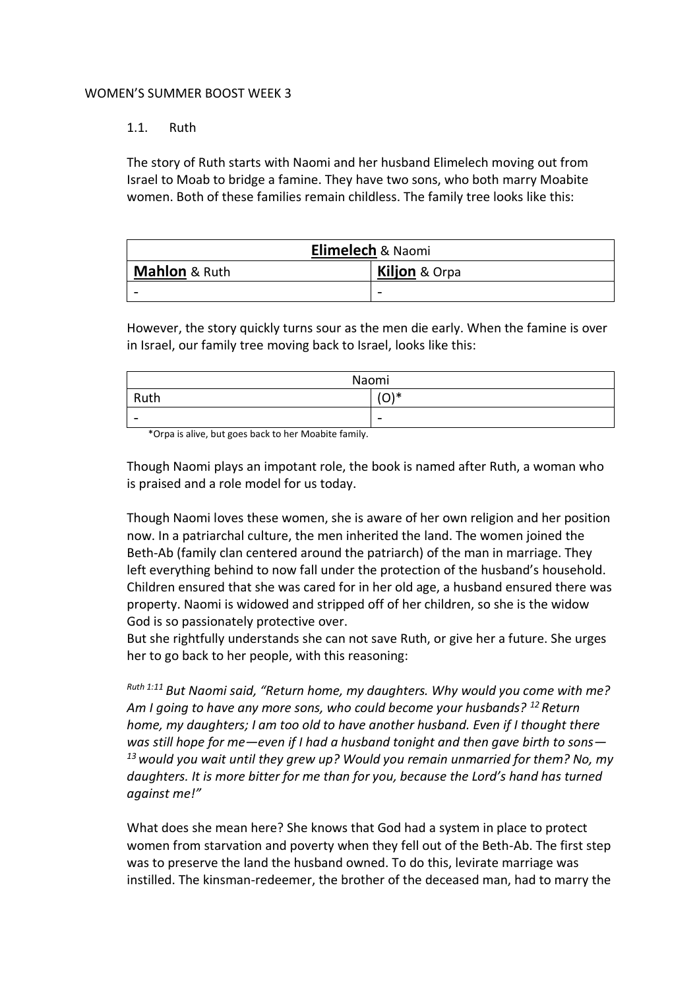## WOMEN'S SUMMER BOOST WEEK 3

## 1.1. Ruth

The story of Ruth starts with Naomi and her husband Elimelech moving out from Israel to Moab to bridge a famine. They have two sons, who both marry Moabite women. Both of these families remain childless. The family tree looks like this:

| Elimelech & Naomi        |                          |  |
|--------------------------|--------------------------|--|
| <b>Mahlon &amp; Ruth</b> | <b>Kiljon &amp; Orpa</b> |  |
|                          |                          |  |

However, the story quickly turns sour as the men die early. When the famine is over in Israel, our family tree moving back to Israel, looks like this:

| Naomi                    |                          |
|--------------------------|--------------------------|
| Ruth                     | $\bigcap$<br>╰           |
| $\overline{\phantom{0}}$ | $\overline{\phantom{a}}$ |

\*Orpa is alive, but goes back to her Moabite family.

Though Naomi plays an impotant role, the book is named after Ruth, a woman who is praised and a role model for us today.

Though Naomi loves these women, she is aware of her own religion and her position now. In a patriarchal culture, the men inherited the land. The women joined the Beth-Ab (family clan centered around the patriarch) of the man in marriage. They left everything behind to now fall under the protection of the husband's household. Children ensured that she was cared for in her old age, a husband ensured there was property. Naomi is widowed and stripped off of her children, so she is the widow God is so passionately protective over.

But she rightfully understands she can not save Ruth, or give her a future. She urges her to go back to her people, with this reasoning:

*Ruth 1:11 But Naomi said, "Return home, my daughters. Why would you come with me? Am I going to have any more sons, who could become your husbands? <sup>12</sup> Return home, my daughters; I am too old to have another husband. Even if I thought there was still hope for me—even if I had a husband tonight and then gave birth to sons— <sup>13</sup>would you wait until they grew up? Would you remain unmarried for them? No, my daughters. It is more bitter for me than for you, because the Lord's hand has turned against me!"*

What does she mean here? She knows that God had a system in place to protect women from starvation and poverty when they fell out of the Beth-Ab. The first step was to preserve the land the husband owned. To do this, levirate marriage was instilled. The kinsman-redeemer, the brother of the deceased man, had to marry the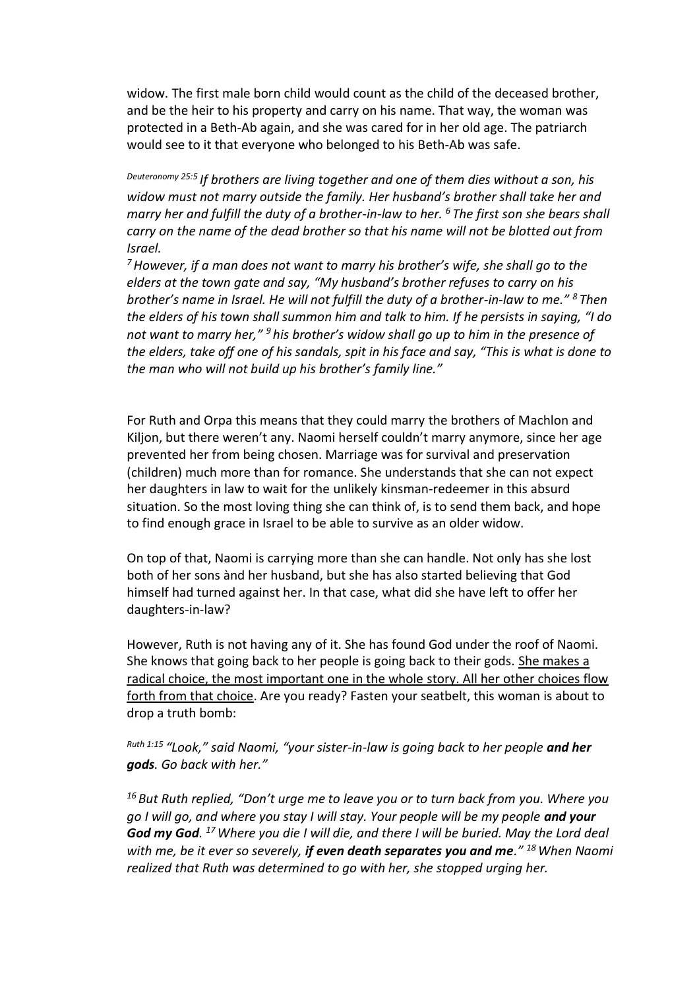widow. The first male born child would count as the child of the deceased brother, and be the heir to his property and carry on his name. That way, the woman was protected in a Beth-Ab again, and she was cared for in her old age. The patriarch would see to it that everyone who belonged to his Beth-Ab was safe.

*Deuteronomy 25:5 If brothers are living together and one of them dies without a son, his widow must not marry outside the family. Her husband's brother shall take her and marry her and fulfill the duty of a brother-in-law to her. <sup>6</sup> The first son she bears shall carry on the name of the dead brother so that his name will not be blotted out from Israel.*

*<sup>7</sup>However, if a man does not want to marry his brother's wife, she shall go to the elders at the town gate and say, "My husband's brother refuses to carry on his brother's name in Israel. He will not fulfill the duty of a brother-in-law to me." <sup>8</sup> Then the elders of his town shall summon him and talk to him. If he persists in saying, "I do not want to marry her," <sup>9</sup> his brother's widow shall go up to him in the presence of the elders, take off one of his sandals, spit in his face and say, "This is what is done to the man who will not build up his brother's family line."* 

For Ruth and Orpa this means that they could marry the brothers of Machlon and Kiljon, but there weren't any. Naomi herself couldn't marry anymore, since her age prevented her from being chosen. Marriage was for survival and preservation (children) much more than for romance. She understands that she can not expect her daughters in law to wait for the unlikely kinsman-redeemer in this absurd situation. So the most loving thing she can think of, is to send them back, and hope to find enough grace in Israel to be able to survive as an older widow.

On top of that, Naomi is carrying more than she can handle. Not only has she lost both of her sons ànd her husband, but she has also started believing that God himself had turned against her. In that case, what did she have left to offer her daughters-in-law?

However, Ruth is not having any of it. She has found God under the roof of Naomi. She knows that going back to her people is going back to their gods. She makes a radical choice, the most important one in the whole story. All her other choices flow forth from that choice. Are you ready? Fasten your seatbelt, this woman is about to drop a truth bomb:

*Ruth 1:15 "Look," said Naomi, "your sister-in-law is going back to her people and her gods. Go back with her."*

*<sup>16</sup> But Ruth replied, "Don't urge me to leave you or to turn back from you. Where you go I will go, and where you stay I will stay. Your people will be my people and your God my God. <sup>17</sup>Where you die I will die, and there I will be buried. May the Lord deal with me, be it ever so severely, if even death separates you and me." <sup>18</sup>When Naomi realized that Ruth was determined to go with her, she stopped urging her.*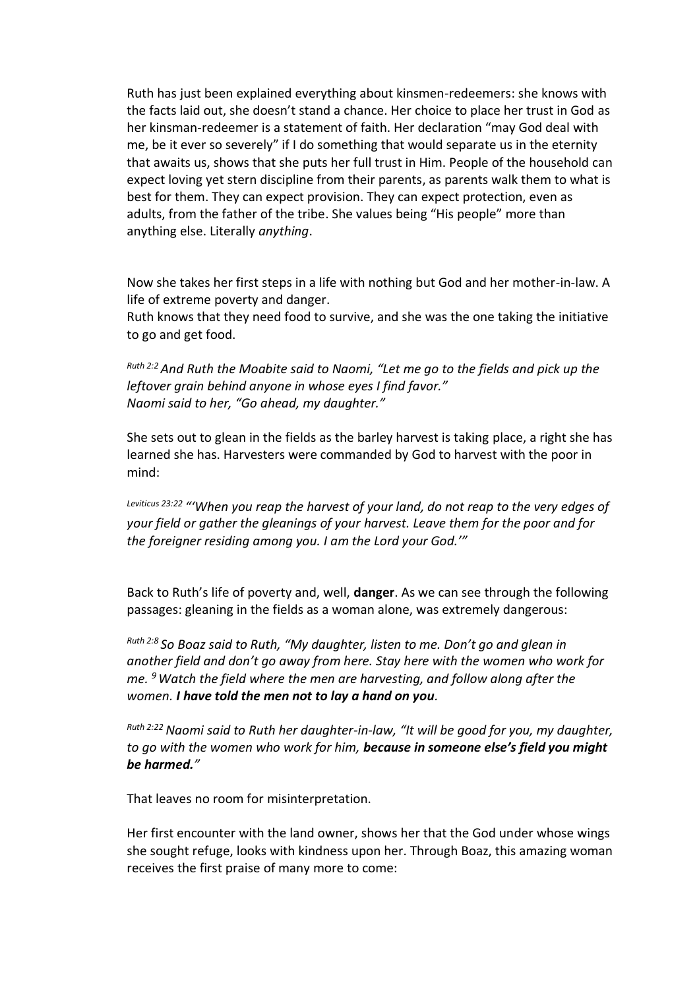Ruth has just been explained everything about kinsmen-redeemers: she knows with the facts laid out, she doesn't stand a chance. Her choice to place her trust in God as her kinsman-redeemer is a statement of faith. Her declaration "may God deal with me, be it ever so severely" if I do something that would separate us in the eternity that awaits us, shows that she puts her full trust in Him. People of the household can expect loving yet stern discipline from their parents, as parents walk them to what is best for them. They can expect provision. They can expect protection, even as adults, from the father of the tribe. She values being "His people" more than anything else. Literally *anything*.

Now she takes her first steps in a life with nothing but God and her mother-in-law. A life of extreme poverty and danger.

Ruth knows that they need food to survive, and she was the one taking the initiative to go and get food.

*Ruth 2:2And Ruth the Moabite said to Naomi, "Let me go to the fields and pick up the leftover grain behind anyone in whose eyes I find favor." Naomi said to her, "Go ahead, my daughter."*

She sets out to glean in the fields as the barley harvest is taking place, a right she has learned she has. Harvesters were commanded by God to harvest with the poor in mind:

*Leviticus 23:22 "'When you reap the harvest of your land, do not reap to the very edges of your field or gather the gleanings of your harvest. Leave them for the poor and for the foreigner residing among you. I am the Lord your God.'"*

Back to Ruth's life of poverty and, well, **danger**. As we can see through the following passages: gleaning in the fields as a woman alone, was extremely dangerous:

*Ruth 2:8 So Boaz said to Ruth, "My daughter, listen to me. Don't go and glean in another field and don't go away from here. Stay here with the women who work for me. <sup>9</sup>Watch the field where the men are harvesting, and follow along after the women. I have told the men not to lay a hand on you.*

*Ruth 2:22 Naomi said to Ruth her daughter-in-law, "It will be good for you, my daughter, to go with the women who work for him, because in someone else's field you might be harmed."*

That leaves no room for misinterpretation.

Her first encounter with the land owner, shows her that the God under whose wings she sought refuge, looks with kindness upon her. Through Boaz, this amazing woman receives the first praise of many more to come: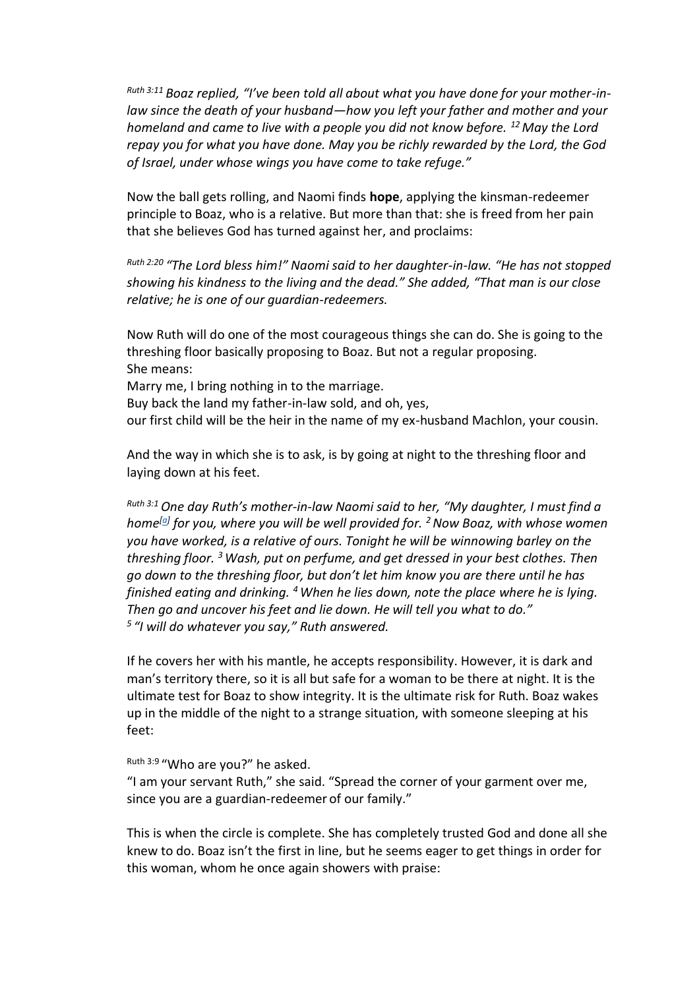*Ruth 3:11 Boaz replied, "I've been told all about what you have done for your mother-inlaw since the death of your husband—how you left your father and mother and your homeland and came to live with a people you did not know before. <sup>12</sup>May the Lord repay you for what you have done. May you be richly rewarded by the Lord, the God of Israel, under whose wings you have come to take refuge."*

Now the ball gets rolling, and Naomi finds **hope**, applying the kinsman-redeemer principle to Boaz, who is a relative. But more than that: she is freed from her pain that she believes God has turned against her, and proclaims:

*Ruth 2:20 "The Lord bless him!" Naomi said to her daughter-in-law. "He has not stopped showing his kindness to the living and the dead." She added, "That man is our close relative; he is one of our guardian-redeemers.*

Now Ruth will do one of the most courageous things she can do. She is going to the threshing floor basically proposing to Boaz. But not a regular proposing. She means: Marry me, I bring nothing in to the marriage. Buy back the land my father-in-law sold, and oh, yes, our first child will be the heir in the name of my ex-husband Machlon, your cousin.

And the way in which she is to ask, is by going at night to the threshing floor and laying down at his feet.

*Ruth 3:1 One day Ruth's mother-in-law Naomi said to her, "My daughter, I must find a home[\[a\]](https://www.biblegateway.com/passage/?search=Ruth%203&version=NIV#fen-NIV-7174a) for you, where you will be well provided for. <sup>2</sup>Now Boaz, with whose women you have worked, is a relative of ours. Tonight he will be winnowing barley on the threshing floor. <sup>3</sup>Wash, put on perfume, and get dressed in your best clothes. Then go down to the threshing floor, but don't let him know you are there until he has finished eating and drinking. <sup>4</sup>When he lies down, note the place where he is lying. Then go and uncover his feet and lie down. He will tell you what to do." 5 "I will do whatever you say," Ruth answered.*

If he covers her with his mantle, he accepts responsibility. However, it is dark and man's territory there, so it is all but safe for a woman to be there at night. It is the ultimate test for Boaz to show integrity. It is the ultimate risk for Ruth. Boaz wakes up in the middle of the night to a strange situation, with someone sleeping at his feet:

<sup>Ruth 3:9</sup> "Who are you?" he asked.

"I am your servant Ruth," she said. "Spread the corner of your garment over me, since you are a guardian-redeemer of our family."

This is when the circle is complete. She has completely trusted God and done all she knew to do. Boaz isn't the first in line, but he seems eager to get things in order for this woman, whom he once again showers with praise: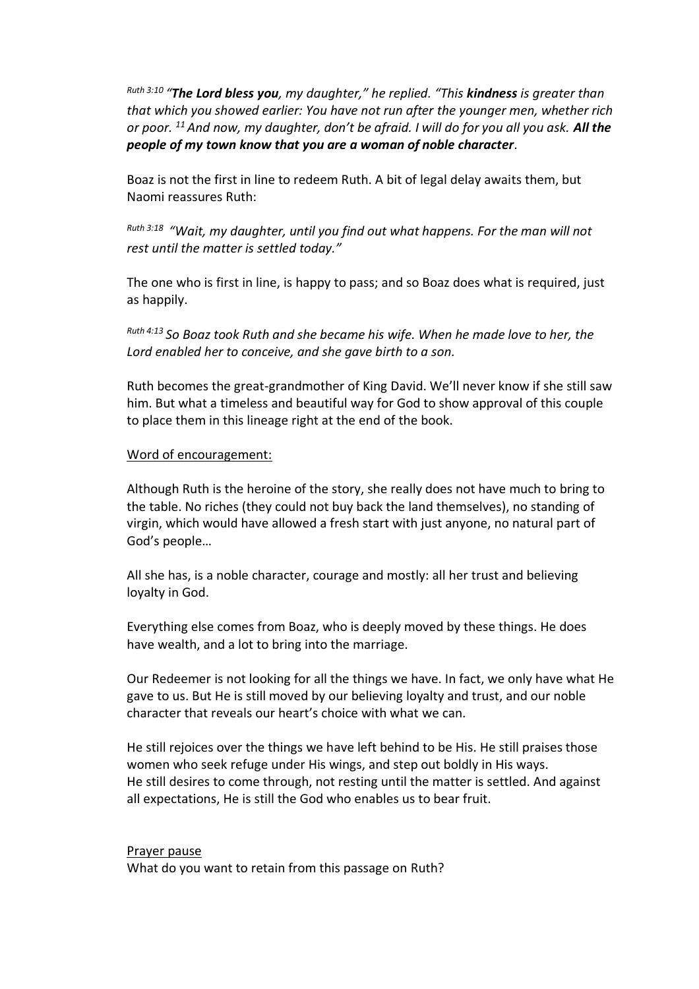*Ruth 3:10 "The Lord bless you, my daughter," he replied. "This kindness is greater than that which you showed earlier: You have not run after the younger men, whether rich or poor. <sup>11</sup>And now, my daughter, don't be afraid. I will do for you all you ask. All the people of my town know that you are a woman of noble character.*

Boaz is not the first in line to redeem Ruth. A bit of legal delay awaits them, but Naomi reassures Ruth:

*Ruth 3:18 "Wait, my daughter, until you find out what happens. For the man will not rest until the matter is settled today."*

The one who is first in line, is happy to pass; and so Boaz does what is required, just as happily.

*Ruth 4:13 So Boaz took Ruth and she became his wife. When he made love to her, the Lord enabled her to conceive, and she gave birth to a son.*

Ruth becomes the great-grandmother of King David. We'll never know if she still saw him. But what a timeless and beautiful way for God to show approval of this couple to place them in this lineage right at the end of the book.

## Word of encouragement:

Although Ruth is the heroine of the story, she really does not have much to bring to the table. No riches (they could not buy back the land themselves), no standing of virgin, which would have allowed a fresh start with just anyone, no natural part of God's people…

All she has, is a noble character, courage and mostly: all her trust and believing loyalty in God.

Everything else comes from Boaz, who is deeply moved by these things. He does have wealth, and a lot to bring into the marriage.

Our Redeemer is not looking for all the things we have. In fact, we only have what He gave to us. But He is still moved by our believing loyalty and trust, and our noble character that reveals our heart's choice with what we can.

He still rejoices over the things we have left behind to be His. He still praises those women who seek refuge under His wings, and step out boldly in His ways. He still desires to come through, not resting until the matter is settled. And against all expectations, He is still the God who enables us to bear fruit.

## Prayer pause

What do you want to retain from this passage on Ruth?